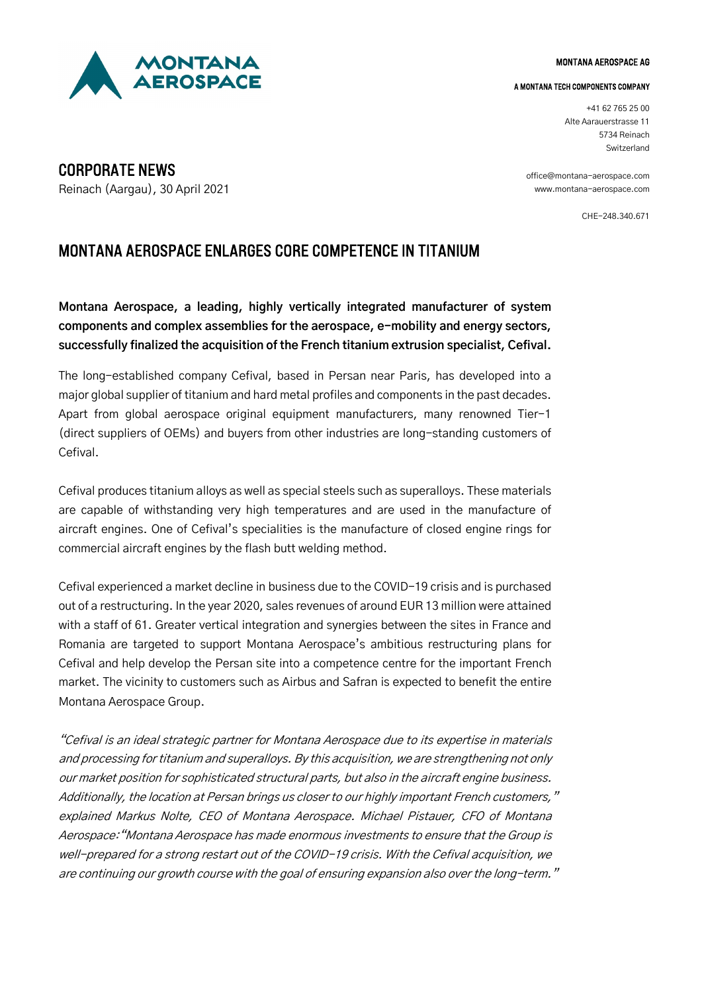

#### MONTANA AEROSPACE AG

#### A MONTANA TECH COMPONENTS COMPANY

+41 62 765 25 00 Alte Aarauerstrasse 11 5734 Reinach Switzerland

[office@montana-aerospace.com](mailto:office@montana-aerospace.com) [www.montana-aerospace.com](http://www.montana-aerospace.com/)

CHE-248.340.671

MONTANA AEROSPACE ENLARGES CORE COMPETENCE IN TITANIUM

**Montana Aerospace, a leading, highly vertically integrated manufacturer of system components and complex assemblies for the aerospace, e-mobility and energy sectors, successfully finalized the acquisition of the French titanium extrusion specialist, Cefival.**

The long-established company Cefival, based in Persan near Paris, has developed into a major global supplier of titanium and hard metal profiles and components in the past decades. Apart from global aerospace original equipment manufacturers, many renowned Tier-1 (direct suppliers of OEMs) and buyers from other industries are long-standing customers of Cefival.

Cefival produces titanium alloys as well as special steels such as superalloys. These materials are capable of withstanding very high temperatures and are used in the manufacture of aircraft engines. One of Cefival's specialities is the manufacture of closed engine rings for commercial aircraft engines by the flash butt welding method.

Cefival experienced a market decline in business due to the COVID-19 crisis and is purchased out of a restructuring. In the year 2020, sales revenues of around EUR 13 million were attained with a staff of 61. Greater vertical integration and synergies between the sites in France and Romania are targeted to support Montana Aerospace's ambitious restructuring plans for Cefival and help develop the Persan site into a competence centre for the important French market. The vicinity to customers such as Airbus and Safran is expected to benefit the entire Montana Aerospace Group.

"Cefival is an ideal strategic partner for Montana Aerospace due to its expertise in materials and processing for titanium and superalloys. By this acquisition, we are strengthening not only our market position for sophisticated structural parts, but also in the aircraft engine business. Additionally, the location at Persan brings us closer to our highly important French customers," explained Markus Nolte, CEO of Montana Aerospace. Michael Pistauer, CFO of Montana Aerospace:"Montana Aerospace has made enormous investments to ensure that the Group is well-prepared for a strong restart out of the COVID-19 crisis. With the Cefival acquisition, we are continuing our growth course with the goal of ensuring expansion also over the long-term."

CORPORATE NEWS Reinach (Aargau), 30 April 2021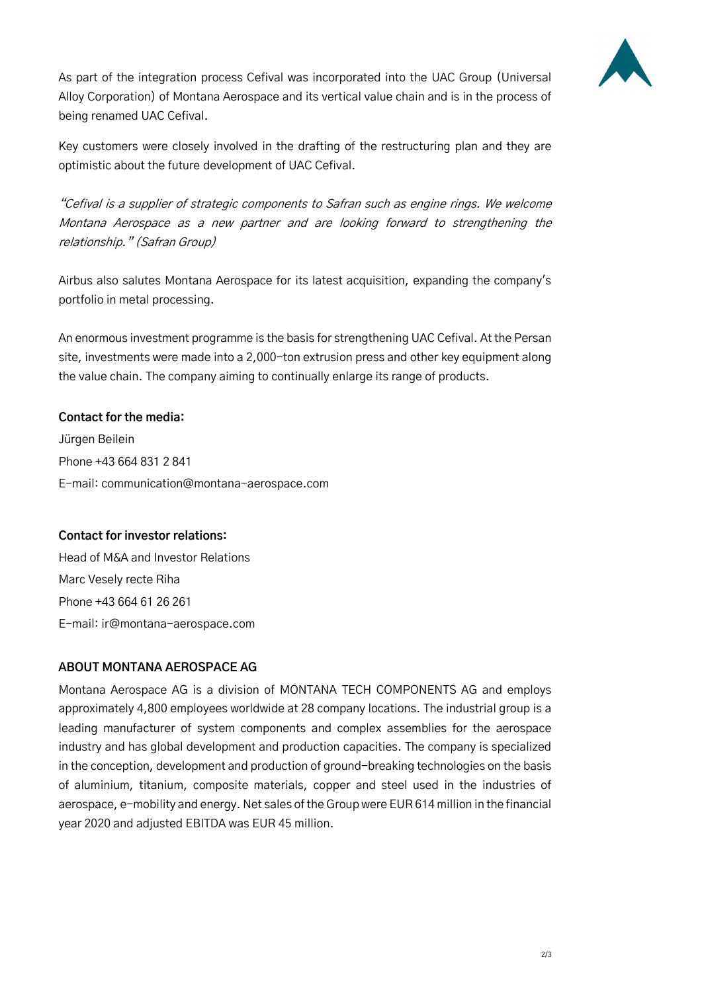

As part of the integration process Cefival was incorporated into the UAC Group (Universal Alloy Corporation) of Montana Aerospace and its vertical value chain and is in the process of being renamed UAC Cefival.

Key customers were closely involved in the drafting of the restructuring plan and they are optimistic about the future development of UAC Cefival.

"Cefival is a supplier of strategic components to Safran such as engine rings. We welcome Montana Aerospace as a new partner and are looking forward to strengthening the relationship." (Safran Group)

Airbus also salutes Montana Aerospace for its latest acquisition, expanding the company's portfolio in metal processing.

An enormous investment programme is the basis for strengthening UAC Cefival. At the Persan site, investments were made into a 2,000-ton extrusion press and other key equipment along the value chain. The company aiming to continually enlarge its range of products.

### **Contact for the media:**

Jürgen Beilein Phone +43 664 831 2 841 E-mail: [communication@montana-aerospace.com](mailto:communication@montana-aerospace.com)

### **Contact for investor relations:**

Head of M&A and Investor Relations Marc Vesely recte Riha Phone +43 664 61 26 261 E-mail: ir@montana-aerospace.com

# **ABOUT MONTANA AEROSPACE AG**

Montana Aerospace AG is a division of MONTANA TECH COMPONENTS AG and employs approximately 4,800 employees worldwide at 28 company locations. The industrial group is a leading manufacturer of system components and complex assemblies for the aerospace industry and has global development and production capacities. The company is specialized in the conception, development and production of ground-breaking technologies on the basis of aluminium, titanium, composite materials, copper and steel used in the industries of aerospace, e-mobility and energy. Net sales of the Group were EUR 614 million in the financial year 2020 and adjusted EBITDA was EUR 45 million.